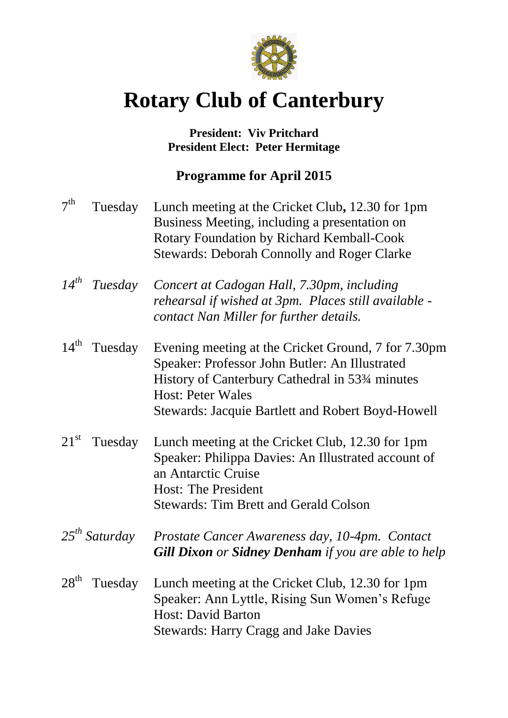

# **Rotary Club of Canterbury**

## **President: Viv Pritchard President Elect: Peter Hermitage**

# **Programme for April 2015**

| 7 <sup>th</sup>  | Tuesday            | Lunch meeting at the Cricket Club, 12.30 for 1pm<br>Business Meeting, including a presentation on<br><b>Rotary Foundation by Richard Kemball-Cook</b><br><b>Stewards: Deborah Connolly and Roger Clarke</b>                                                    |
|------------------|--------------------|----------------------------------------------------------------------------------------------------------------------------------------------------------------------------------------------------------------------------------------------------------------|
|                  | $14^{th}$ Tuesday  | Concert at Cadogan Hall, 7.30pm, including<br>rehearsal if wished at 3pm. Places still available -<br>contact Nan Miller for further details.                                                                                                                  |
| $14^{\text{th}}$ | Tuesday            | Evening meeting at the Cricket Ground, 7 for 7.30pm<br>Speaker: Professor John Butler: An Illustrated<br>History of Canterbury Cathedral in 53 <sup>3</sup> /4 minutes<br><b>Host: Peter Wales</b><br><b>Stewards: Jacquie Bartlett and Robert Boyd-Howell</b> |
| $21^{\rm st}$    | Tuesday            | Lunch meeting at the Cricket Club, 12.30 for 1pm<br>Speaker: Philippa Davies: An Illustrated account of<br>an Antarctic Cruise<br><b>Host: The President</b><br><b>Stewards: Tim Brett and Gerald Colson</b>                                                   |
|                  | $25^{th}$ Saturday | Prostate Cancer Awareness day, 10-4pm. Contact<br><b>Gill Dixon</b> or <b>Sidney Denham</b> if you are able to help                                                                                                                                            |
| $28^{\text{th}}$ | Tuesday            | Lunch meeting at the Cricket Club, 12.30 for 1pm<br>Speaker: Ann Lyttle, Rising Sun Women's Refuge<br><b>Host: David Barton</b><br><b>Stewards: Harry Cragg and Jake Davies</b>                                                                                |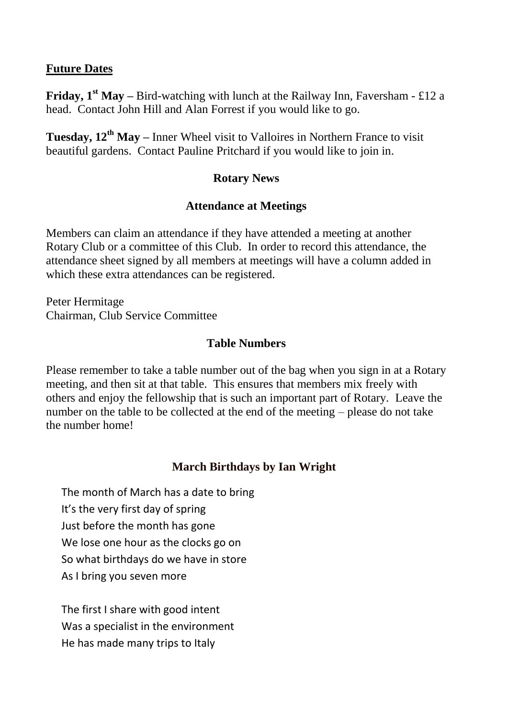#### **Future Dates**

**Friday, 1<sup>st</sup> May** – Bird-watching with lunch at the Railway Inn, Faversham - £12 a head. Contact John Hill and Alan Forrest if you would like to go.

**Tuesday, 12th May –** Inner Wheel visit to Valloires in Northern France to visit beautiful gardens. Contact Pauline Pritchard if you would like to join in.

#### **Rotary News**

#### **Attendance at Meetings**

Members can claim an attendance if they have attended a meeting at another Rotary Club or a committee of this Club. In order to record this attendance, the attendance sheet signed by all members at meetings will have a column added in which these extra attendances can be registered.

Peter Hermitage Chairman, Club Service Committee

#### **Table Numbers**

Please remember to take a table number out of the bag when you sign in at a Rotary meeting, and then sit at that table. This ensures that members mix freely with others and enjoy the fellowship that is such an important part of Rotary. Leave the number on the table to be collected at the end of the meeting – please do not take the number home!

### **March Birthdays by Ian Wright**

The month of March has a date to bring It's the very first day of spring Just before the month has gone We lose one hour as the clocks go on So what birthdays do we have in store As I bring you seven more

The first I share with good intent Was a specialist in the environment He has made many trips to Italy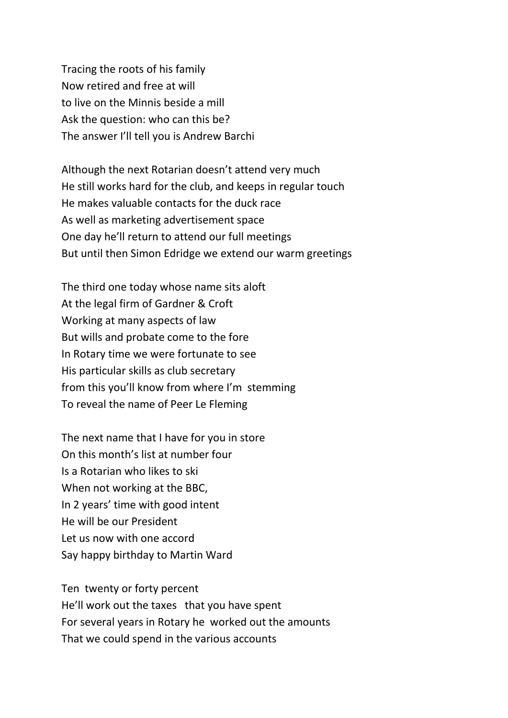Tracing the roots of his family Now retired and free at will to live on the Minnis beside a mill Ask the question: who can this be? The answer I'll tell you is Andrew Barchi

Although the next Rotarian doesn't attend very much He still works hard for the club, and keeps in regular touch He makes valuable contacts for the duck race As well as marketing advertisement space One day he'll return to attend our full meetings But until then Simon Edridge we extend our warm greetings

The third one today whose name sits aloft At the legal firm of Gardner & Croft Working at many aspects of law But wills and probate come to the fore In Rotary time we were fortunate to see His particular skills as club secretary from this you'll know from where I'm stemming To reveal the name of Peer Le Fleming

The next name that I have for you in store On this month's list at number four Is a Rotarian who likes to ski When not working at the BBC, In 2 years' time with good intent He will be our President Let us now with one accord Say happy birthday to Martin Ward

Ten twenty or forty percent He'll work out the taxes that you have spent For several years in Rotary he worked out the amounts That we could spend in the various accounts